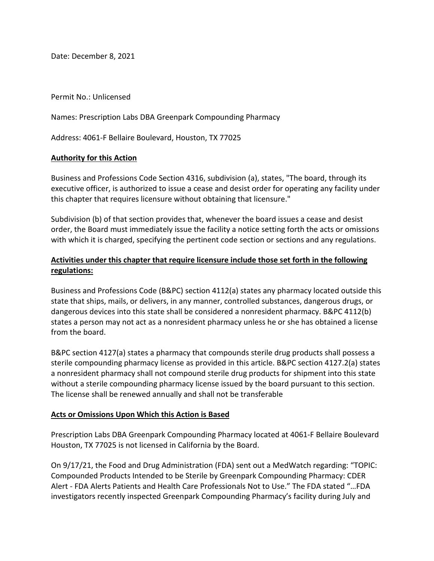Date: December 8, 2021

Permit No.: Unlicensed

Names: Prescription Labs DBA Greenpark Compounding Pharmacy

Address: 4061-F Bellaire Boulevard, Houston, TX 77025

#### **Authority for this Action**

 Business and Professions Code Section 4316, subdivision (a), states, "The board, through its executive officer, is authorized to issue a cease and desist order for operating any facility under this chapter that requires licensure without obtaining that licensure."

 Subdivision (b) of that section provides that, whenever the board issues a cease and desist with which it is charged, specifying the pertinent code section or sections and any regulations. order, the Board must immediately issue the facility a notice setting forth the acts or omissions

## **Activities under this chapter that require licensure include those set forth in the following regulations:**

 states a person may not act as a nonresident pharmacy unless he or she has obtained a license Business and Professions Code (B&PC) section 4112(a) states any pharmacy located outside this state that ships, mails, or delivers, in any manner, controlled substances, dangerous drugs, or dangerous devices into this state shall be considered a nonresident pharmacy. B&PC 4112(b) from the board.

 a nonresident pharmacy shall not compound sterile drug products for shipment into this state without a sterile compounding pharmacy license issued by the board pursuant to this section. The license shall be renewed annually and shall not be transferable B&PC section 4127(a) states a pharmacy that compounds sterile drug products shall possess a sterile compounding pharmacy license as provided in this article. B&PC section 4127.2(a) states

#### **Acts or Omissions Upon Which this Action is Based**

 Prescription Labs DBA Greenpark Compounding Pharmacy located at 4061-F Bellaire Boulevard Houston, TX 77025 is not licensed in California by the Board.

On 9/17/21, the Food and Drug Administration (FDA) sent out a MedWatch regarding: "TOPIC: Compounded Products Intended to be Sterile by Greenpark Compounding Pharmacy: CDER Alert - FDA Alerts Patients and Health Care Professionals Not to Use." The FDA stated "…FDA investigators recently inspected Greenpark Compounding Pharmacy's facility during July and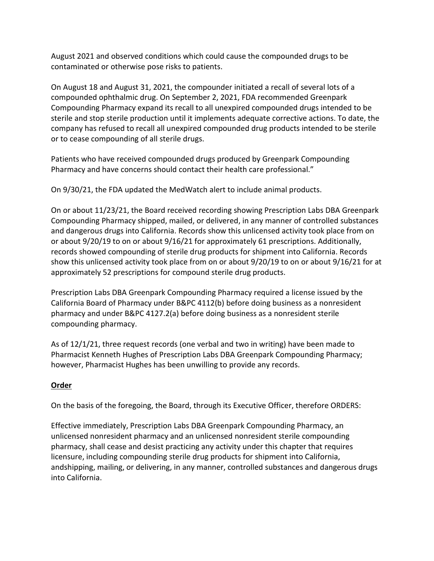August 2021 and observed conditions which could cause the compounded drugs to be contaminated or otherwise pose risks to patients.

 Compounding Pharmacy expand its recall to all unexpired compounded drugs intended to be sterile and stop sterile production until it implements adequate corrective actions. To date, the company has refused to recall all unexpired compounded drug products intended to be sterile On August 18 and August 31, 2021, the compounder initiated a recall of several lots of a compounded ophthalmic drug. On September 2, 2021, FDA recommended Greenpark or to cease compounding of all sterile drugs.

Patients who have received compounded drugs produced by Greenpark Compounding Pharmacy and have concerns should contact their health care professional."

On 9/30/21, the FDA updated the MedWatch alert to include animal products.

 Compounding Pharmacy shipped, mailed, or delivered, in any manner of controlled substances and dangerous drugs into California. Records show this unlicensed activity took place from on approximately 52 prescriptions for compound sterile drug products. On or about 11/23/21, the Board received recording showing Prescription Labs DBA Greenpark or about 9/20/19 to on or about 9/16/21 for approximately 61 prescriptions. Additionally, records showed compounding of sterile drug products for shipment into California. Records show this unlicensed activity took place from on or about 9/20/19 to on or about 9/16/21 for at

 Prescription Labs DBA Greenpark Compounding Pharmacy required a license issued by the California Board of Pharmacy under B&PC 4112(b) before doing business as a nonresident pharmacy and under B&PC 4127.2(a) before doing business as a nonresident sterile compounding pharmacy.

 As of 12/1/21, three request records (one verbal and two in writing) have been made to however, Pharmacist Hughes has been unwilling to provide any records. Pharmacist Kenneth Hughes of Prescription Labs DBA Greenpark Compounding Pharmacy;

# <u>Order</u>

On the basis of the foregoing, the Board, through its Executive Officer, therefore ORDERS:

 pharmacy, shall cease and desist practicing any activity under this chapter that requires andshipping, mailing, or delivering, in any manner, controlled substances and dangerous drugs Effective immediately, Prescription Labs DBA Greenpark Compounding Pharmacy, an unlicensed nonresident pharmacy and an unlicensed nonresident sterile compounding licensure, including compounding sterile drug products for shipment into California, into California.